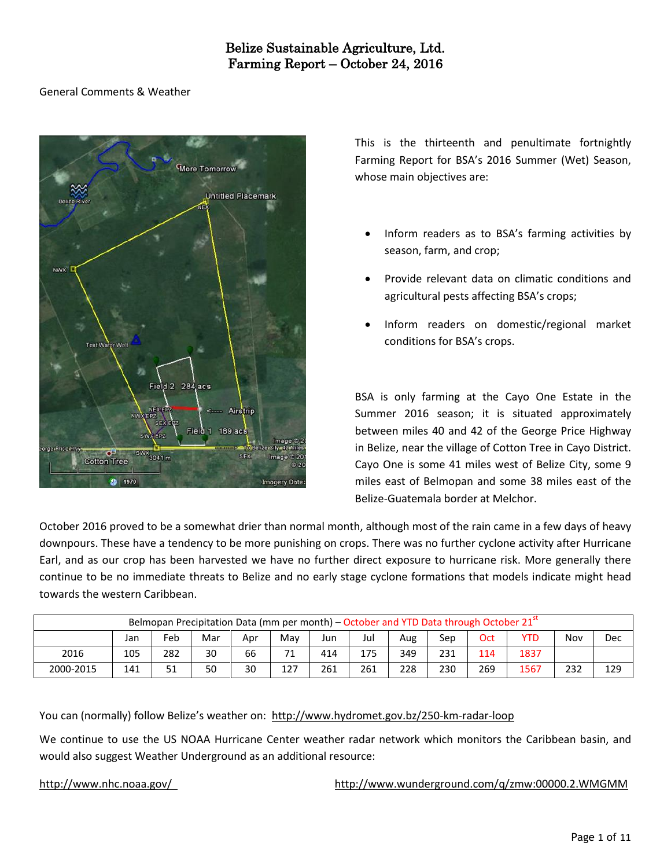#### General Comments & Weather



This is the thirteenth and penultimate fortnightly Farming Report for BSA's 2016 Summer (Wet) Season, whose main objectives are:

- Inform readers as to BSA's farming activities by season, farm, and crop;
- Provide relevant data on climatic conditions and agricultural pests affecting BSA's crops;
- Inform readers on domestic/regional market conditions for BSA's crops.

BSA is only farming at the Cayo One Estate in the Summer 2016 season; it is situated approximately between miles 40 and 42 of the George Price Highway in Belize, near the village of Cotton Tree in Cayo District. Cayo One is some 41 miles west of Belize City, some 9 miles east of Belmopan and some 38 miles east of the Belize-Guatemala border at Melchor.

October 2016 proved to be a somewhat drier than normal month, although most of the rain came in a few days of heavy downpours. These have a tendency to be more punishing on crops. There was no further cyclone activity after Hurricane Earl, and as our crop has been harvested we have no further direct exposure to hurricane risk. More generally there continue to be no immediate threats to Belize and no early stage cyclone formations that models indicate might head towards the western Caribbean.

|           | Belmopan Precipitation Data (mm per month) – October and YTD Data through October $2151$ |     |     |     |     |     |     |     |     |     |            |     |     |  |  |
|-----------|------------------------------------------------------------------------------------------|-----|-----|-----|-----|-----|-----|-----|-----|-----|------------|-----|-----|--|--|
|           | Jan                                                                                      | Feb | Mar | Apr | Mav | Jun | Jul | Aug | Sep | Oct | <b>YTD</b> | Nov | Dec |  |  |
| 2016      | 105                                                                                      | 282 | 30  | 66  | 71  | 414 | 175 | 349 | 231 | 114 | 1837       |     |     |  |  |
| 2000-2015 | 141                                                                                      | 51  | 50  | 30  | 127 | 261 | 261 | 228 | 230 | 269 | 1567       | 232 | 129 |  |  |

You can (normally) follow Belize's weather on: <http://www.hydromet.gov.bz/250-km-radar-loop>

We continue to use the US NOAA Hurricane Center weather radar network which monitors the Caribbean basin, and would also suggest Weather Underground as an additional resource:

<http://www.nhc.noaa.gov/><http://www.wunderground.com/q/zmw:00000.2.WMGMM>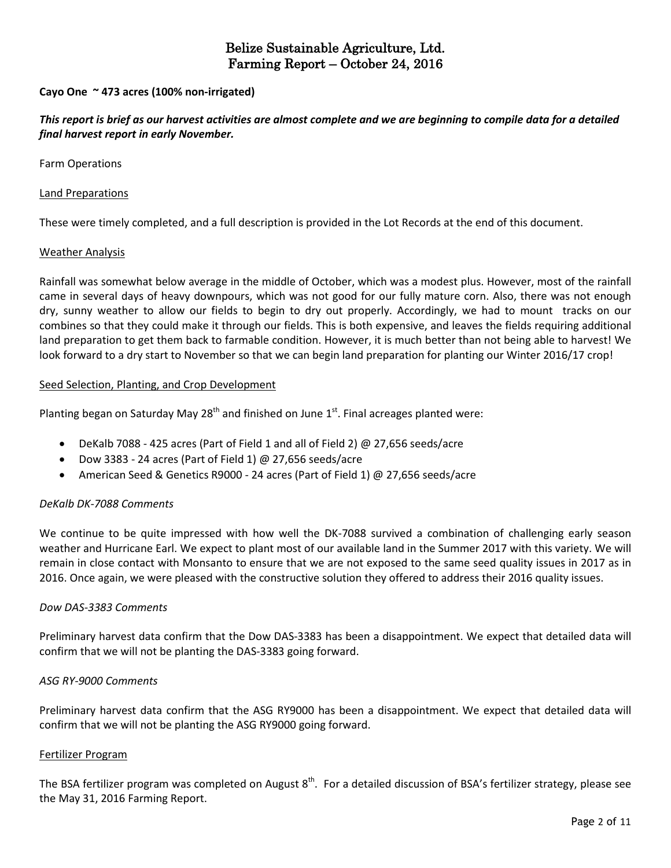#### **Cayo One ~ 473 acres (100% non-irrigated)**

#### This report is brief as our harvest activities are almost complete and we are beginning to compile data for a detailed *final harvest report in early November.*

Farm Operations

#### Land Preparations

These were timely completed, and a full description is provided in the Lot Records at the end of this document.

#### Weather Analysis

Rainfall was somewhat below average in the middle of October, which was a modest plus. However, most of the rainfall came in several days of heavy downpours, which was not good for our fully mature corn. Also, there was not enough dry, sunny weather to allow our fields to begin to dry out properly. Accordingly, we had to mount tracks on our combines so that they could make it through our fields. This is both expensive, and leaves the fields requiring additional land preparation to get them back to farmable condition. However, it is much better than not being able to harvest! We look forward to a dry start to November so that we can begin land preparation for planting our Winter 2016/17 crop!

#### Seed Selection, Planting, and Crop Development

Planting began on Saturday May 28<sup>th</sup> and finished on June 1<sup>st</sup>. Final acreages planted were:

- DeKalb 7088 425 acres (Part of Field 1 and all of Field 2) @ 27,656 seeds/acre
- Dow 3383 24 acres (Part of Field 1) @ 27,656 seeds/acre
- American Seed & Genetics R9000 24 acres (Part of Field 1) @ 27,656 seeds/acre

#### *DeKalb DK-7088 Comments*

We continue to be quite impressed with how well the DK-7088 survived a combination of challenging early season weather and Hurricane Earl. We expect to plant most of our available land in the Summer 2017 with this variety. We will remain in close contact with Monsanto to ensure that we are not exposed to the same seed quality issues in 2017 as in 2016. Once again, we were pleased with the constructive solution they offered to address their 2016 quality issues.

#### *Dow DAS-3383 Comments*

Preliminary harvest data confirm that the Dow DAS-3383 has been a disappointment. We expect that detailed data will confirm that we will not be planting the DAS-3383 going forward.

#### *ASG RY-9000 Comments*

Preliminary harvest data confirm that the ASG RY9000 has been a disappointment. We expect that detailed data will confirm that we will not be planting the ASG RY9000 going forward.

#### Fertilizer Program

The BSA fertilizer program was completed on August 8<sup>th</sup>. For a detailed discussion of BSA's fertilizer strategy, please see the May 31, 2016 Farming Report.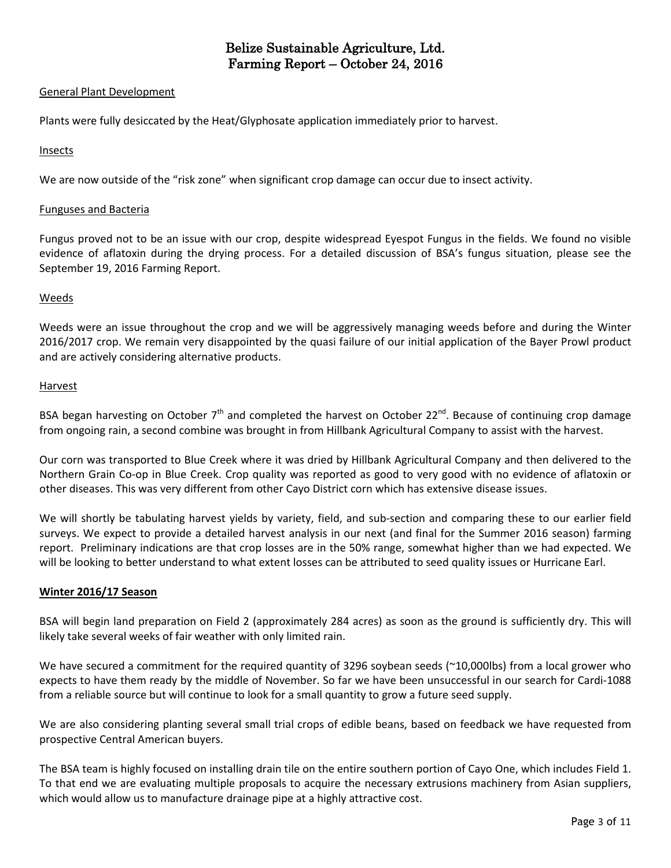#### General Plant Development

Plants were fully desiccated by the Heat/Glyphosate application immediately prior to harvest.

#### Insects

We are now outside of the "risk zone" when significant crop damage can occur due to insect activity.

#### Funguses and Bacteria

Fungus proved not to be an issue with our crop, despite widespread Eyespot Fungus in the fields. We found no visible evidence of aflatoxin during the drying process. For a detailed discussion of BSA's fungus situation, please see the September 19, 2016 Farming Report.

#### Weeds

Weeds were an issue throughout the crop and we will be aggressively managing weeds before and during the Winter 2016/2017 crop. We remain very disappointed by the quasi failure of our initial application of the Bayer Prowl product and are actively considering alternative products.

#### Harvest

BSA began harvesting on October 7<sup>th</sup> and completed the harvest on October 22<sup>nd</sup>. Because of continuing crop damage from ongoing rain, a second combine was brought in from Hillbank Agricultural Company to assist with the harvest.

Our corn was transported to Blue Creek where it was dried by Hillbank Agricultural Company and then delivered to the Northern Grain Co-op in Blue Creek. Crop quality was reported as good to very good with no evidence of aflatoxin or other diseases. This was very different from other Cayo District corn which has extensive disease issues.

We will shortly be tabulating harvest yields by variety, field, and sub-section and comparing these to our earlier field surveys. We expect to provide a detailed harvest analysis in our next (and final for the Summer 2016 season) farming report. Preliminary indications are that crop losses are in the 50% range, somewhat higher than we had expected. We will be looking to better understand to what extent losses can be attributed to seed quality issues or Hurricane Earl.

#### **Winter 2016/17 Season**

BSA will begin land preparation on Field 2 (approximately 284 acres) as soon as the ground is sufficiently dry. This will likely take several weeks of fair weather with only limited rain.

We have secured a commitment for the required quantity of 3296 soybean seeds (~10,000lbs) from a local grower who expects to have them ready by the middle of November. So far we have been unsuccessful in our search for Cardi-1088 from a reliable source but will continue to look for a small quantity to grow a future seed supply.

We are also considering planting several small trial crops of edible beans, based on feedback we have requested from prospective Central American buyers.

The BSA team is highly focused on installing drain tile on the entire southern portion of Cayo One, which includes Field 1. To that end we are evaluating multiple proposals to acquire the necessary extrusions machinery from Asian suppliers, which would allow us to manufacture drainage pipe at a highly attractive cost.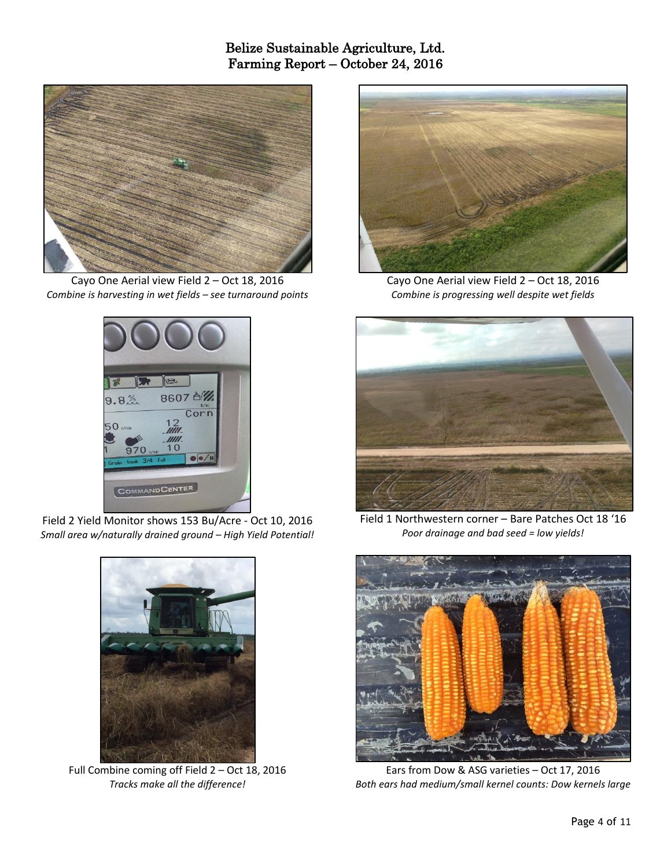

Cayo One Aerial view Field 2 – Oct 18, 2016 *Combine is harvesting in wet fields – see turnaround points*



Field 2 Yield Monitor shows 153 Bu/Acre - Oct 10, 2016 *Small area w/naturally drained ground – High Yield Potential!*



Full Combine coming off Field 2 – Oct 18, 2016 *Tracks make all the difference!*



Cayo One Aerial view Field 2 – Oct 18, 2016 *Combine is progressing well despite wet fields*



Field 1 Northwestern corner – Bare Patches Oct 18 '16 *Poor drainage and bad seed = low yields!*



Ears from Dow & ASG varieties – Oct 17, 2016 *Both ears had medium/small kernel counts: Dow kernels large*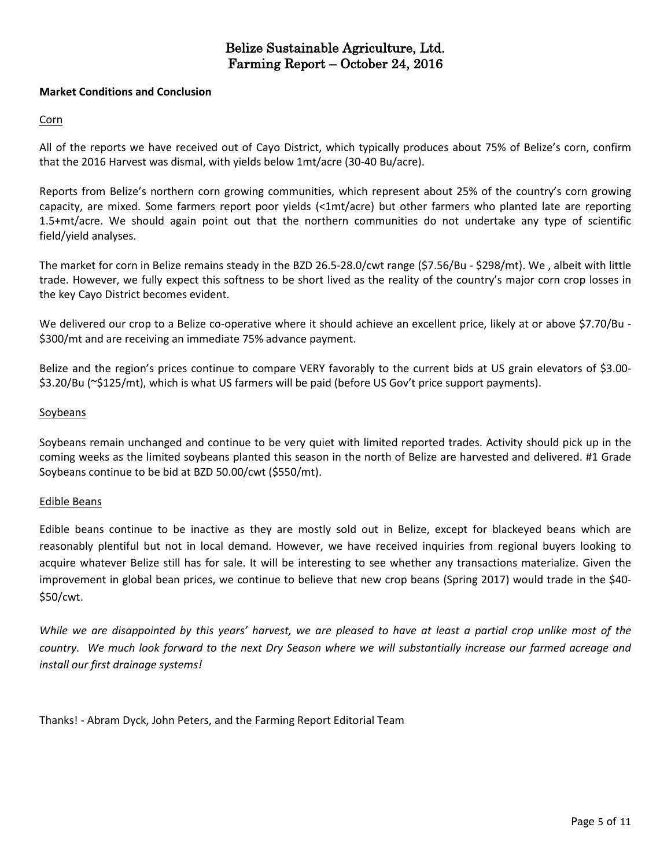#### **Market Conditions and Conclusion**

#### Corn

All of the reports we have received out of Cayo District, which typically produces about 75% of Belize's corn, confirm that the 2016 Harvest was dismal, with yields below 1mt/acre (30-40 Bu/acre).

Reports from Belize's northern corn growing communities, which represent about 25% of the country's corn growing capacity, are mixed. Some farmers report poor yields (<1mt/acre) but other farmers who planted late are reporting 1.5+mt/acre. We should again point out that the northern communities do not undertake any type of scientific field/yield analyses.

The market for corn in Belize remains steady in the BZD 26.5-28.0/cwt range (\$7.56/Bu - \$298/mt). We , albeit with little trade. However, we fully expect this softness to be short lived as the reality of the country's major corn crop losses in the key Cayo District becomes evident.

We delivered our crop to a Belize co-operative where it should achieve an excellent price, likely at or above \$7.70/Bu -\$300/mt and are receiving an immediate 75% advance payment.

Belize and the region's prices continue to compare VERY favorably to the current bids at US grain elevators of \$3.00- \$3.20/Bu (~\$125/mt), which is what US farmers will be paid (before US Gov't price support payments).

#### Soybeans

Soybeans remain unchanged and continue to be very quiet with limited reported trades. Activity should pick up in the coming weeks as the limited soybeans planted this season in the north of Belize are harvested and delivered. #1 Grade Soybeans continue to be bid at BZD 50.00/cwt (\$550/mt).

#### Edible Beans

Edible beans continue to be inactive as they are mostly sold out in Belize, except for blackeyed beans which are reasonably plentiful but not in local demand. However, we have received inquiries from regional buyers looking to acquire whatever Belize still has for sale. It will be interesting to see whether any transactions materialize. Given the improvement in global bean prices, we continue to believe that new crop beans (Spring 2017) would trade in the \$40- \$50/cwt.

While we are disappointed by this years' harvest, we are pleased to have at least a partial crop unlike most of the country. We much look forward to the next Dry Season where we will substantially increase our farmed acreage and *install our first drainage systems!*

Thanks! - Abram Dyck, John Peters, and the Farming Report Editorial Team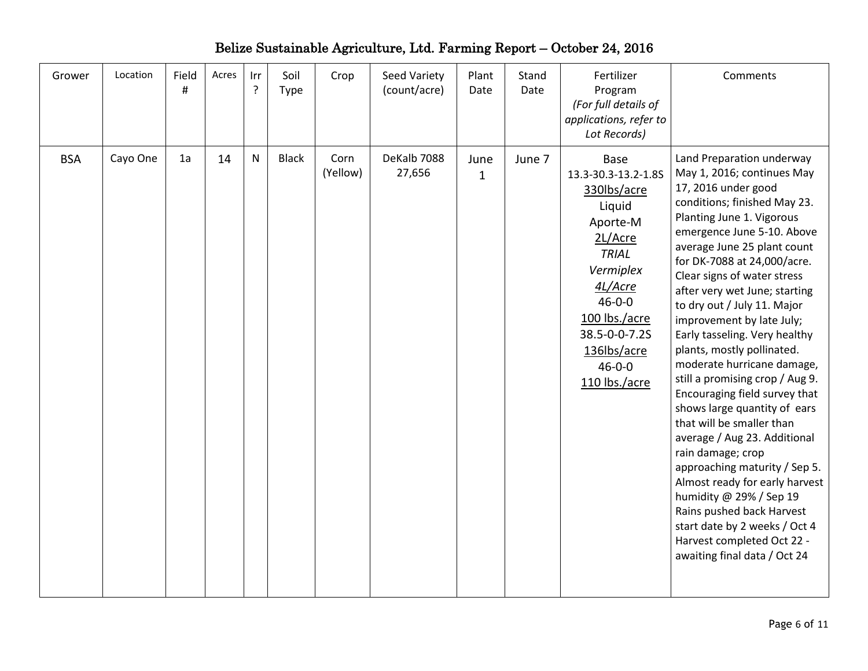| Grower     | Location | Field<br>$\sharp$ | Acres | Irr<br>? | Soil<br>Type | Crop             | Seed Variety<br>(count/acre) | Plant<br>Date        | Stand<br>Date | Fertilizer<br>Program<br>(For full details of<br>applications, refer to<br>Lot Records)                                                                                                                               | Comments                                                                                                                                                                                                                                                                                                                                                                                                                                                                                                                                                                                                                                                                                                                                                                                                                                                                         |
|------------|----------|-------------------|-------|----------|--------------|------------------|------------------------------|----------------------|---------------|-----------------------------------------------------------------------------------------------------------------------------------------------------------------------------------------------------------------------|----------------------------------------------------------------------------------------------------------------------------------------------------------------------------------------------------------------------------------------------------------------------------------------------------------------------------------------------------------------------------------------------------------------------------------------------------------------------------------------------------------------------------------------------------------------------------------------------------------------------------------------------------------------------------------------------------------------------------------------------------------------------------------------------------------------------------------------------------------------------------------|
| <b>BSA</b> | Cayo One | 1a                | 14    | N        | <b>Black</b> | Corn<br>(Yellow) | DeKalb 7088<br>27,656        | June<br>$\mathbf{1}$ | June 7        | Base<br>13.3-30.3-13.2-1.8S<br>330lbs/acre<br>Liquid<br>Aporte-M<br>2L/Acre<br><b>TRIAL</b><br>Vermiplex<br>4L/Acre<br>$46 - 0 - 0$<br>100 lbs./acre<br>38.5-0-0-7.2S<br>136lbs/acre<br>$46 - 0 - 0$<br>110 lbs./acre | Land Preparation underway<br>May 1, 2016; continues May<br>17, 2016 under good<br>conditions; finished May 23.<br>Planting June 1. Vigorous<br>emergence June 5-10. Above<br>average June 25 plant count<br>for DK-7088 at 24,000/acre.<br>Clear signs of water stress<br>after very wet June; starting<br>to dry out / July 11. Major<br>improvement by late July;<br>Early tasseling. Very healthy<br>plants, mostly pollinated.<br>moderate hurricane damage,<br>still a promising crop / Aug 9.<br>Encouraging field survey that<br>shows large quantity of ears<br>that will be smaller than<br>average / Aug 23. Additional<br>rain damage; crop<br>approaching maturity / Sep 5.<br>Almost ready for early harvest<br>humidity @ 29% / Sep 19<br>Rains pushed back Harvest<br>start date by 2 weeks / Oct 4<br>Harvest completed Oct 22 -<br>awaiting final data / Oct 24 |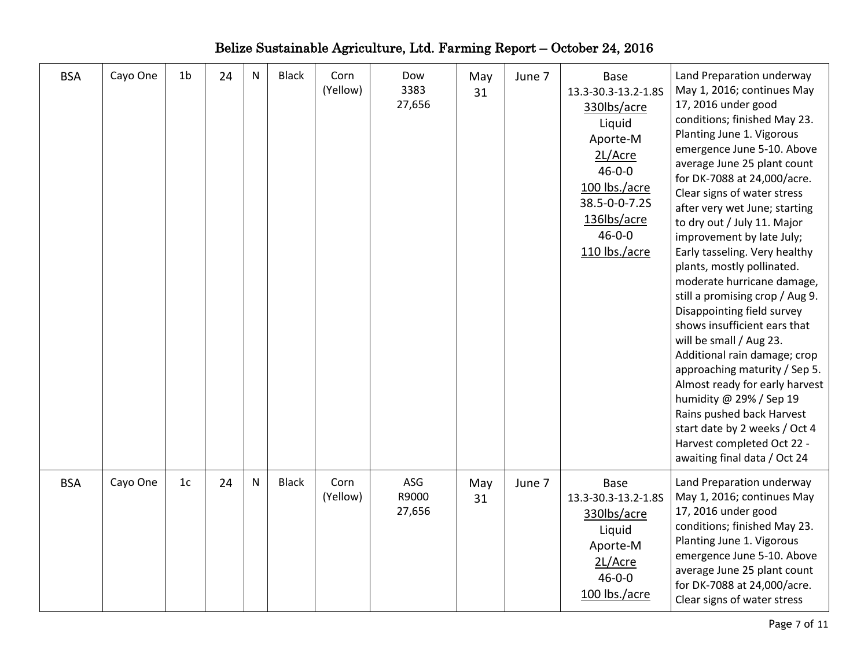| <b>BSA</b> | Cayo One | 1 <sub>b</sub> | 24 | ${\sf N}$ | <b>Black</b> | Corn<br>(Yellow) | Dow<br>3383<br>27,656  | May<br>31 | June 7 | Base<br>13.3-30.3-13.2-1.8S<br>330lbs/acre<br>Liquid<br>Aporte-M<br>2L/Acre<br>$46 - 0 - 0$<br>100 lbs./acre<br>38.5-0-0-7.2S<br>136lbs/acre<br>$46 - 0 - 0$<br>110 lbs./acre | Land Preparation underway<br>May 1, 2016; continues May<br>17, 2016 under good<br>conditions; finished May 23.<br>Planting June 1. Vigorous<br>emergence June 5-10. Above<br>average June 25 plant count<br>for DK-7088 at 24,000/acre.<br>Clear signs of water stress<br>after very wet June; starting<br>to dry out / July 11. Major<br>improvement by late July;<br>Early tasseling. Very healthy<br>plants, mostly pollinated.<br>moderate hurricane damage,<br>still a promising crop / Aug 9.<br>Disappointing field survey<br>shows insufficient ears that<br>will be small / Aug 23.<br>Additional rain damage; crop<br>approaching maturity / Sep 5.<br>Almost ready for early harvest<br>humidity @ 29% / Sep 19<br>Rains pushed back Harvest<br>start date by 2 weeks / Oct 4<br>Harvest completed Oct 22 -<br>awaiting final data / Oct 24 |
|------------|----------|----------------|----|-----------|--------------|------------------|------------------------|-----------|--------|-------------------------------------------------------------------------------------------------------------------------------------------------------------------------------|--------------------------------------------------------------------------------------------------------------------------------------------------------------------------------------------------------------------------------------------------------------------------------------------------------------------------------------------------------------------------------------------------------------------------------------------------------------------------------------------------------------------------------------------------------------------------------------------------------------------------------------------------------------------------------------------------------------------------------------------------------------------------------------------------------------------------------------------------------|
| <b>BSA</b> | Cayo One | 1 <sub>c</sub> | 24 | N         | <b>Black</b> | Corn<br>(Yellow) | ASG<br>R9000<br>27,656 | May<br>31 | June 7 | Base<br>13.3-30.3-13.2-1.8S<br>330lbs/acre<br>Liquid<br>Aporte-M<br>2L/Acre<br>$46 - 0 - 0$<br>100 lbs./acre                                                                  | Land Preparation underway<br>May 1, 2016; continues May<br>17, 2016 under good<br>conditions; finished May 23.<br>Planting June 1. Vigorous<br>emergence June 5-10. Above<br>average June 25 plant count<br>for DK-7088 at 24,000/acre.<br>Clear signs of water stress                                                                                                                                                                                                                                                                                                                                                                                                                                                                                                                                                                                 |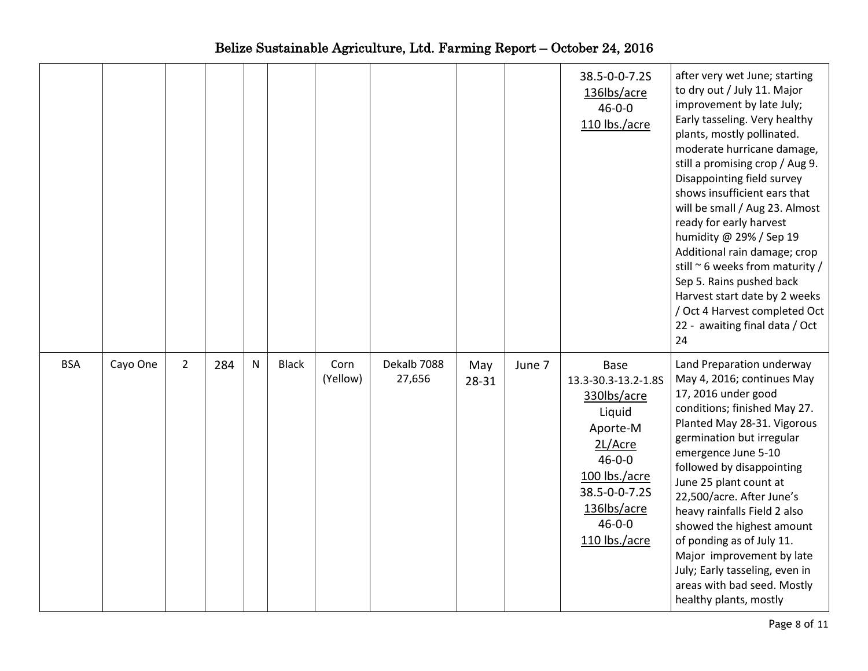|            |          |             |     |   |              |                  |                       |                  |        | 38.5-0-0-7.2S<br>136lbs/acre<br>$46 - 0 - 0$<br>110 lbs./acre                                                                                                                        | after very wet June; starting<br>to dry out / July 11. Major<br>improvement by late July;<br>Early tasseling. Very healthy<br>plants, mostly pollinated.<br>moderate hurricane damage,<br>still a promising crop / Aug 9.<br>Disappointing field survey<br>shows insufficient ears that<br>will be small / Aug 23. Almost<br>ready for early harvest<br>humidity @ 29% / Sep 19<br>Additional rain damage; crop<br>still $\sim$ 6 weeks from maturity /<br>Sep 5. Rains pushed back<br>Harvest start date by 2 weeks<br>/ Oct 4 Harvest completed Oct<br>22 - awaiting final data / Oct<br>24 |
|------------|----------|-------------|-----|---|--------------|------------------|-----------------------|------------------|--------|--------------------------------------------------------------------------------------------------------------------------------------------------------------------------------------|-----------------------------------------------------------------------------------------------------------------------------------------------------------------------------------------------------------------------------------------------------------------------------------------------------------------------------------------------------------------------------------------------------------------------------------------------------------------------------------------------------------------------------------------------------------------------------------------------|
| <b>BSA</b> | Cayo One | $2^{\circ}$ | 284 | N | <b>Black</b> | Corn<br>(Yellow) | Dekalb 7088<br>27,656 | May<br>$28 - 31$ | June 7 | <b>Base</b><br>13.3-30.3-13.2-1.8S<br>330lbs/acre<br>Liquid<br>Aporte-M<br>2L/Acre<br>$46 - 0 - 0$<br>100 lbs./acre<br>38.5-0-0-7.2S<br>136lbs/acre<br>$46 - 0 - 0$<br>110 lbs./acre | Land Preparation underway<br>May 4, 2016; continues May<br>17, 2016 under good<br>conditions; finished May 27.<br>Planted May 28-31. Vigorous<br>germination but irregular<br>emergence June 5-10<br>followed by disappointing<br>June 25 plant count at<br>22,500/acre. After June's<br>heavy rainfalls Field 2 also<br>showed the highest amount<br>of ponding as of July 11.<br>Major improvement by late<br>July; Early tasseling, even in<br>areas with bad seed. Mostly<br>healthy plants, mostly                                                                                       |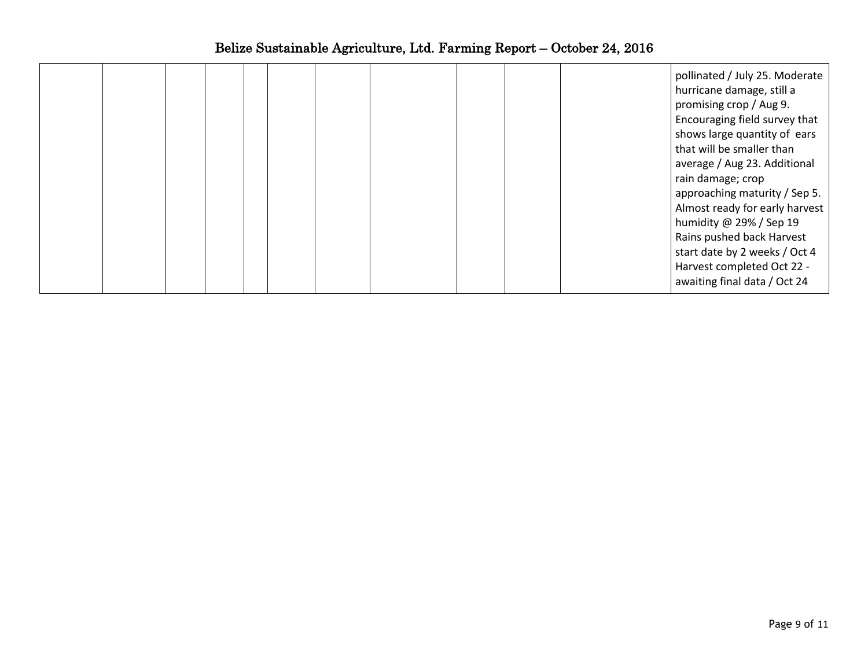|  |  |  |  |  | pollinated / July 25. Moderate<br>hurricane damage, still a<br>promising crop / Aug 9.<br>Encouraging field survey that<br>shows large quantity of ears<br>that will be smaller than<br>average / Aug 23. Additional<br>rain damage; crop<br>approaching maturity / Sep 5.<br>Almost ready for early harvest<br>humidity @ 29% / Sep 19<br>Rains pushed back Harvest<br>start date by 2 weeks / Oct 4<br>Harvest completed Oct 22 - |
|--|--|--|--|--|-------------------------------------------------------------------------------------------------------------------------------------------------------------------------------------------------------------------------------------------------------------------------------------------------------------------------------------------------------------------------------------------------------------------------------------|
|  |  |  |  |  | awaiting final data / Oct 24                                                                                                                                                                                                                                                                                                                                                                                                        |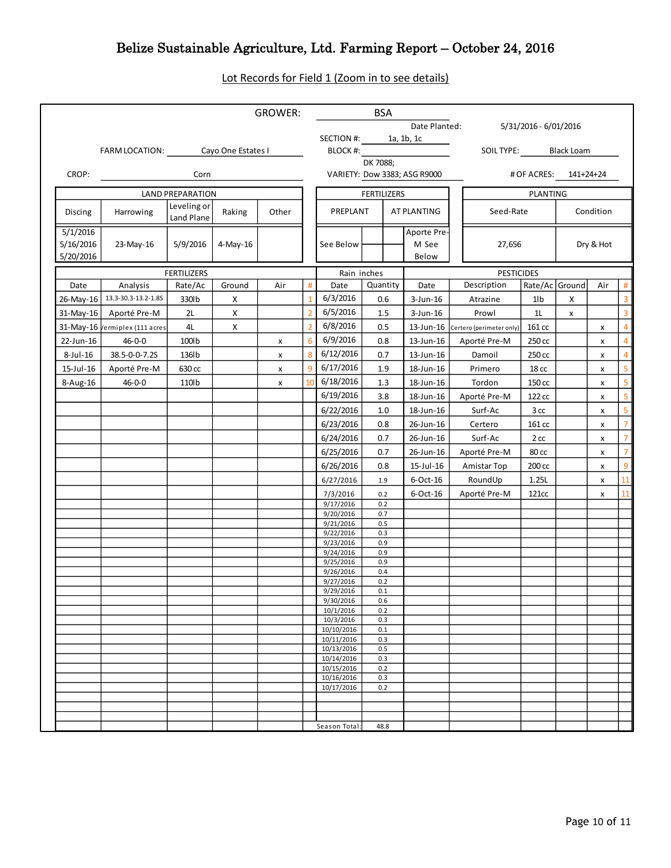## Lot Records for Field 1 (Zoom in to see details)

|                                    |                                   |                           |          | <b>GROWER:</b> |                |                          | BSA                |                               |                                    |                       |              |           |                         |
|------------------------------------|-----------------------------------|---------------------------|----------|----------------|----------------|--------------------------|--------------------|-------------------------------|------------------------------------|-----------------------|--------------|-----------|-------------------------|
|                                    |                                   |                           |          |                |                |                          |                    | Date Planted:                 |                                    | 5/31/2016 - 6/01/2016 |              |           |                         |
|                                    | FARM LOCATION: Cayo One Estates I |                           |          |                |                | SECTION #: 1a, 1b, 1c    |                    |                               | SOIL TYPE: Black Loam              |                       |              |           |                         |
|                                    |                                   |                           |          |                |                |                          |                    | BLOCK #: DK 7088;             |                                    |                       |              |           |                         |
| CROP:                              |                                   | Corn                      |          |                |                |                          |                    | VARIETY: Dow 3383; ASG R9000  | # OF ACRES: 141+24+24              |                       |              |           |                         |
|                                    |                                   | <b>LAND PREPARATION</b>   |          |                |                |                          | <b>FERTILIZERS</b> |                               |                                    | PLANTING              |              |           |                         |
| Discing                            | Harrowing                         | Leveling or<br>Land Plane | Raking   | Other          |                | PREPLANT                 |                    | AT PLANTING                   | Seed-Rate                          |                       |              | Condition |                         |
| 5/1/2016<br>5/16/2016<br>5/20/2016 | 23-May-16                         | 5/9/2016                  | 4-May-16 |                |                | See Below                |                    | Aporte Pre-<br>M See<br>Below | 27,656                             |                       | Dry & Hot    |           |                         |
|                                    |                                   | <b>FERTILIZERS</b>        |          |                |                | Rain inches              |                    |                               | <b>PESTICIDES</b>                  |                       |              |           |                         |
| Date                               | Analysis                          | Rate/Ac                   | Ground   | Air            | #              | Date                     | Quantity           | Date                          | Description                        | Rate/Ac Ground        |              | Air       | #                       |
|                                    | 26-May-16 13.3-30.3-13.2-1.8S     | 330lb                     | X        |                |                | 6/3/2016                 | 0.6                | $3$ -Jun-16                   | Atrazine                           | 1lb                   | X            |           | $\overline{\mathbf{3}}$ |
|                                    | 31-May-16 Aporté Pre-M            | 2L                        | X        |                | $\overline{2}$ | 6/5/2016                 | 1.5                | $3$ -Jun-16                   | Prowl                              | 11                    | $\mathsf{x}$ |           | $\overline{\mathbf{3}}$ |
|                                    | 31-May-16 /ermiplex (111 acres    | 4L                        | Х        |                | $\overline{2}$ | 6/8/2016                 | 0.5                |                               | 13-Jun-16 Certero (perimeter only) | 161 cc                |              | X         | $\overline{4}$          |
| 22-Jun-16                          | 46-0-0                            | 100lb                     |          | x              | 6              | 6/9/2016                 | 0.8                | 13-Jun-16                     | Aporté Pre-M                       | 250 cc                |              | x         | $\overline{4}$          |
| 8-Jul-16                           | 38.5-0-0-7.2S                     | 136lb                     |          | x              | 8              | 6/12/2016                | 0.7                | 13-Jun-16                     | Damoil                             | 250 cc                |              | x         | $\overline{4}$          |
| 15-Jul-16                          | Aporté Pre-M                      | 630 cc                    |          | x              | $\overline{9}$ | 6/17/2016                | 1.9                | 18-Jun-16                     | Primero                            | 18 <sub>cc</sub>      |              | x         | $\overline{5}$          |
| 8-Aug-16                           | $46 - 0 - 0$                      | 110lb                     |          | x              | 10             | 6/18/2016                | 1.3                | 18-Jun-16                     | Tordon                             | 150 cc                |              | x         | $\overline{5}$          |
|                                    |                                   |                           |          |                |                | 6/19/2016                | 3.8                | 18-Jun-16                     | Aporté Pre-M                       | 122 cc                |              | x         | $\overline{5}$          |
|                                    |                                   |                           |          |                |                | 6/22/2016                | 1.0                | 18-Jun-16                     | Surf-Ac                            | 3 cc                  |              | x         | 5 <sub>5</sub>          |
|                                    |                                   |                           |          |                |                | 6/23/2016                | 0.8                | 26-Jun-16                     | Certero                            | 161 cc                |              | x         | $\overline{7}$          |
|                                    |                                   |                           |          |                |                | 6/24/2016                | 0.7                | 26-Jun-16                     | Surf-Ac                            | 2 cc                  |              | x         | $\overline{7}$          |
|                                    |                                   |                           |          |                |                | 6/25/2016                | 0.7                | 26-Jun-16                     | Aporté Pre-M                       | $80 \, \text{cc}$     |              | X         | $\overline{7}$          |
|                                    |                                   |                           |          |                |                | 6/26/2016                | 0.8                | 15-Jul-16                     | Amistar Top                        | 200 cc                |              | X         | 9                       |
|                                    |                                   |                           |          |                |                | 6/27/2016                | 1.9                | 6-Oct-16                      | RoundUp                            | 1.25L                 |              | x         | <b>11</b>               |
|                                    |                                   |                           |          |                |                | 7/3/2016                 | 0.2                | $6$ -Oct-16                   | Aporté Pre-M                       | 121cc                 |              | X         | 11                      |
|                                    |                                   |                           |          |                |                | 9/17/2016<br>9/20/2016   | 0.2<br>0.7         |                               |                                    |                       |              |           |                         |
|                                    |                                   |                           |          |                |                | 9/21/2016                | 0.5                |                               |                                    |                       |              |           |                         |
|                                    |                                   |                           |          |                |                | 9/22/2016<br>9/23/2016   | 0.3<br>0.9         |                               |                                    |                       |              |           |                         |
|                                    |                                   |                           |          |                |                | 9/24/2016                | 0.9                |                               |                                    |                       |              |           |                         |
|                                    |                                   |                           |          |                |                | 9/25/2016                | 0.9                |                               |                                    |                       |              |           |                         |
|                                    |                                   |                           |          |                |                | 9/26/2016<br>9/27/2016   | 0.4<br>0.2         |                               |                                    |                       |              |           |                         |
|                                    |                                   |                           |          |                |                | 9/29/2016                | 0.1                |                               |                                    |                       |              |           |                         |
|                                    |                                   |                           |          |                |                | 9/30/2016<br>10/1/2016   | 0.6<br>0.2         |                               |                                    |                       |              |           |                         |
|                                    |                                   |                           |          |                |                | 10/3/2016                | 0.3                |                               |                                    |                       |              |           |                         |
|                                    |                                   |                           |          |                |                | 10/10/2016               | 0.1                |                               |                                    |                       |              |           |                         |
|                                    |                                   |                           |          |                |                | 10/11/2016<br>10/13/2016 | 0.3<br>0.5         |                               |                                    |                       |              |           |                         |
|                                    |                                   |                           |          |                |                | 10/14/2016               | 0.3                |                               |                                    |                       |              |           |                         |
|                                    |                                   |                           |          |                |                | 10/15/2016<br>10/16/2016 | 0.2<br>0.3         |                               |                                    |                       |              |           |                         |
|                                    |                                   |                           |          |                |                | 10/17/2016               | 0.2                |                               |                                    |                       |              |           |                         |
|                                    |                                   |                           |          |                |                |                          |                    |                               |                                    |                       |              |           |                         |
|                                    |                                   |                           |          |                |                |                          |                    |                               |                                    |                       |              |           |                         |
|                                    |                                   |                           |          |                |                | Season Total:            | 48.8               |                               |                                    |                       |              |           |                         |